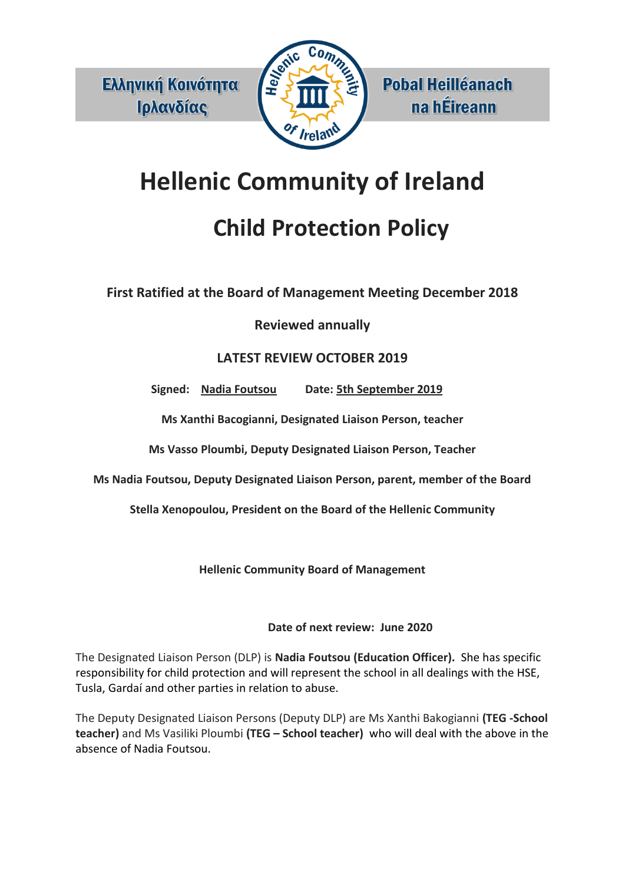

**Pobal Heilléanach** na hÉireann

# **Hellenic Community of Ireland**

## **Child Protection Policy**

**First Ratified at the Board of Management Meeting December 2018** 

**Reviewed annually** 

#### **LATEST REVIEW OCTOBER 2019**

**Signed: Nadia Foutsou Date: 5th September 2019**

**Ms Xanthi Bacogianni, Designated Liaison Person, teacher**

**Ms Vasso Ploumbi, Deputy Designated Liaison Person, Teacher**

**Ms Nadia Foutsou, Deputy Designated Liaison Person, parent, member of the Board** 

**Stella Xenopoulou, President on the Board of the Hellenic Community** 

**Hellenic Community Board of Management**

**Date of next review: June 2020**

The Designated Liaison Person (DLP) is **Nadia Foutsou (Education Officer).** She has specific responsibility for child protection and will represent the school in all dealings with the HSE, Tusla, Gardaí and other parties in relation to abuse.

The Deputy Designated Liaison Persons (Deputy DLP) are Ms Xanthi Bakogianni **(TEG -School teacher)** and Ms Vasiliki Ploumbi **(TEG – School teacher)** who will deal with the above in the absence of Nadia Foutsou.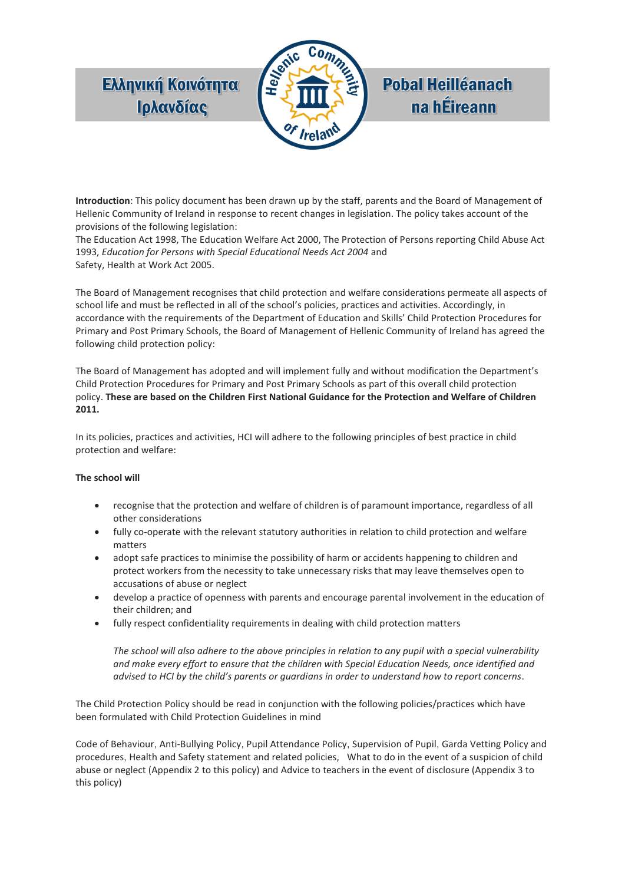

## **Pobal Heilléanach** na hÉireann

**Introduction**: This policy document has been drawn up by the staff, parents and the Board of Management of Hellenic Community of Ireland in response to recent changes in legislation. The policy takes account of the provisions of the following legislation:

The Education Act 1998, The Education Welfare Act 2000, The Protection of Persons reporting Child Abuse Act 1993, *Education for Persons with Special Educational Needs Act 2004* and Safety, Health at Work Act 2005.

The Board of Management recognises that child protection and welfare considerations permeate all aspects of school life and must be reflected in all of the school's policies, practices and activities. Accordingly, in accordance with the requirements of the Department of Education and Skills' Child Protection Procedures for Primary and Post Primary Schools, the Board of Management of Hellenic Community of Ireland has agreed the following child protection policy:

The Board of Management has adopted and will implement fully and without modification the Department's Child Protection Procedures for Primary and Post Primary Schools as part of this overall child protection policy. **These are based on the Children First National Guidance for the Protection and Welfare of Children 2011.**

In its policies, practices and activities, HCI will adhere to the following principles of best practice in child protection and welfare:

#### **The school will**

- recognise that the protection and welfare of children is of paramount importance, regardless of all other considerations
- fully co-operate with the relevant statutory authorities in relation to child protection and welfare matters
- adopt safe practices to minimise the possibility of harm or accidents happening to children and protect workers from the necessity to take unnecessary risks that may leave themselves open to accusations of abuse or neglect
- develop a practice of openness with parents and encourage parental involvement in the education of their children; and
- fully respect confidentiality requirements in dealing with child protection matters

*The school will also adhere to the above principles in relation to any pupil with a special vulnerability and make every effort to ensure that the children with Special Education Needs, once identified and advised to HCI by the child's parents or guardians in order to understand how to report concerns*.

The Child Protection Policy should be read in conjunction with the following policies/practices which have been formulated with Child Protection Guidelines in mind

Code of Behaviour, Anti-Bullying Policy, Pupil Attendance Policy, Supervision of Pupil, Garda Vetting Policy and procedures, Health and Safety statement and related policies, What to do in the event of a suspicion of child abuse or neglect (Appendix 2 to this policy) and Advice to teachers in the event of disclosure (Appendix 3 to this policy)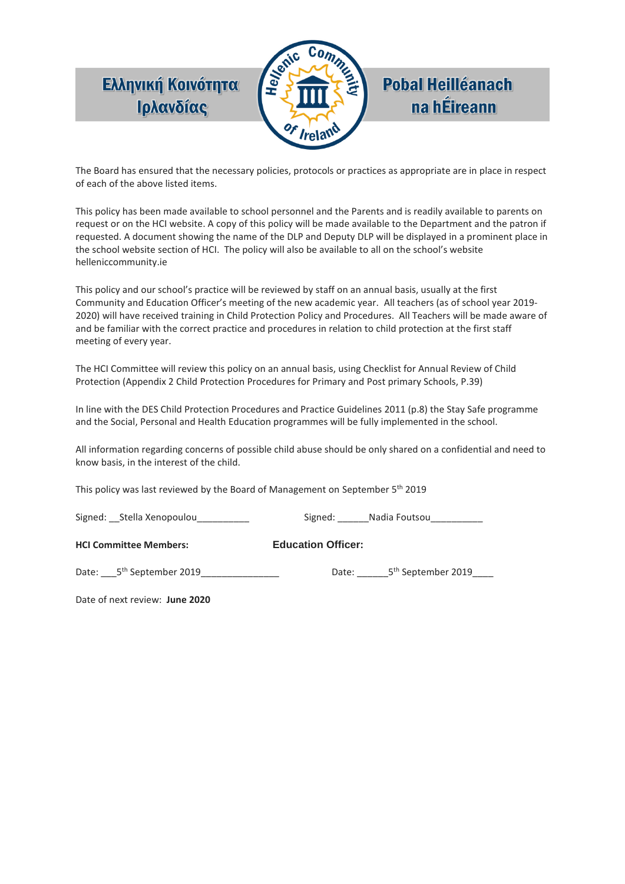

## **Pobal Heilléanach** na hÉireann

The Board has ensured that the necessary policies, protocols or practices as appropriate are in place in respect of each of the above listed items.

This policy has been made available to school personnel and the Parents and is readily available to parents on request or on the HCI website. A copy of this policy will be made available to the Department and the patron if requested. A document showing the name of the DLP and Deputy DLP will be displayed in a prominent place in the school website section of HCI. The policy will also be available to all on the school's website helleniccommunity.ie

This policy and our school's practice will be reviewed by staff on an annual basis, usually at the first Community and Education Officer's meeting of the new academic year. All teachers (as of school year 2019- 2020) will have received training in Child Protection Policy and Procedures. All Teachers will be made aware of and be familiar with the correct practice and procedures in relation to child protection at the first staff meeting of every year.

The HCI Committee will review this policy on an annual basis, using Checklist for Annual Review of Child Protection (Appendix 2 Child Protection Procedures for Primary and Post primary Schools, P.39)

In line with the DES Child Protection Procedures and Practice Guidelines 2011 (p.8) the Stay Safe programme and the Social, Personal and Health Education programmes will be fully implemented in the school.

All information regarding concerns of possible child abuse should be only shared on a confidential and need to know basis, in the interest of the child.

This policy was last reviewed by the Board of Management on September 5<sup>th</sup> 2019

Signed: Catella Xenopoulou Catella Senopoulou Catella Signed: Nadia Foutsou

**HCI Committee Members: Education Officer:** 

Date:  $5^{th}$  September 2019 and the separation of the September 2019

Date of next review: **June 2020**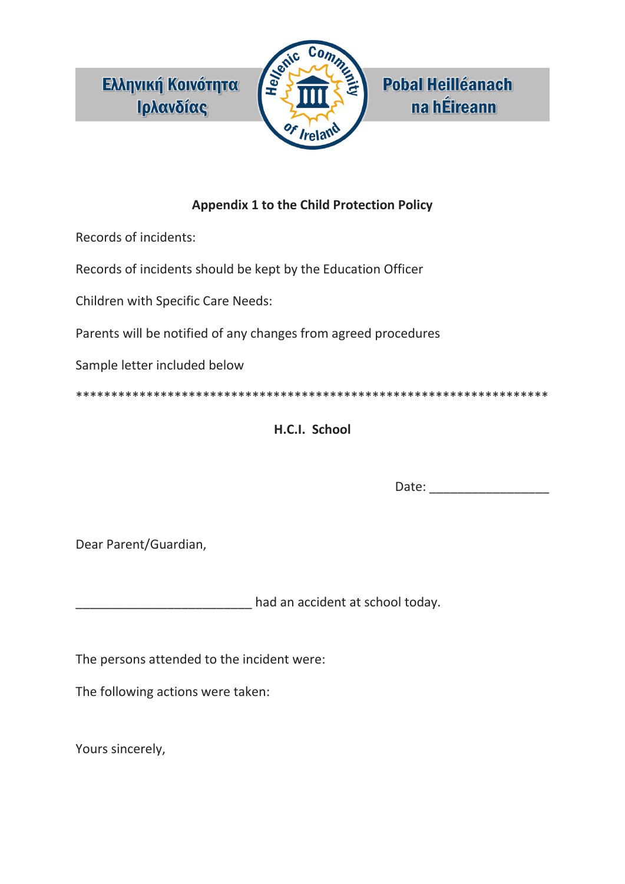

**Pobal Heilléanach** na hÉireann

#### **Appendix 1 to the Child Protection Policy**

Records of incidents:

Records of incidents should be kept by the Education Officer

Children with Specific Care Needs:

Parents will be notified of any changes from agreed procedures

Sample letter included below

\*\*\*\*\*\*\*\*\*\*\*\*\*\*\*\*\*\*\*\*\*\*\*\*\*\*\*\*\*\*\*\*\*\*\*\*\*\*\*\*\*\*\*\*\*\*\*\*\*\*\*\*\*\*\*\*\*\*\*\*\*\*\*\*\*\*\*

**H.C.I. School**

Date: \_\_\_\_\_\_\_\_\_\_\_\_\_\_\_\_\_

Dear Parent/Guardian,

had an accident at school today.

The persons attended to the incident were:

The following actions were taken:

Yours sincerely,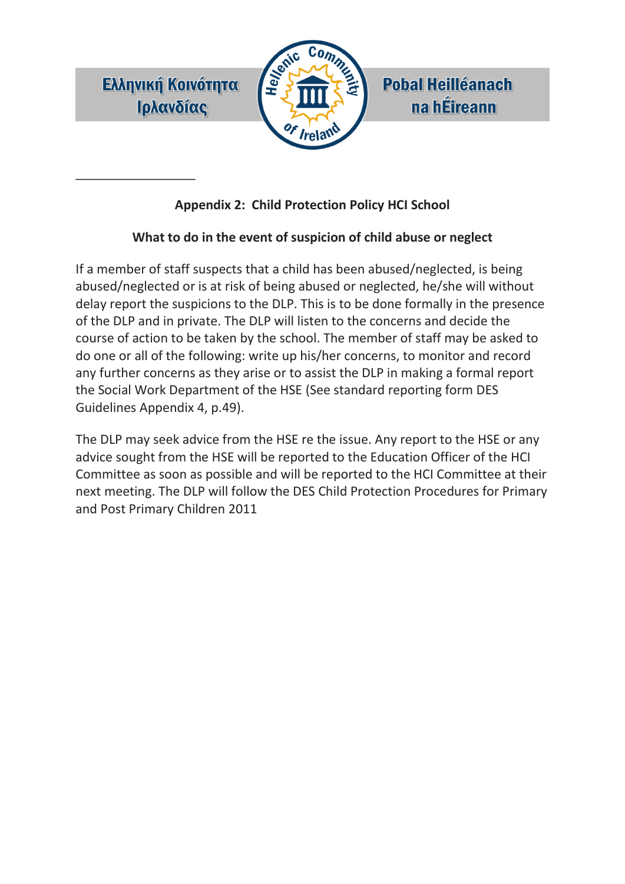\_\_\_\_\_\_\_\_\_\_\_\_\_\_\_\_\_



**Pobal Heilléanach** na hÉireann

### **Appendix 2: Child Protection Policy HCI School**

#### **What to do in the event of suspicion of child abuse or neglect**

If a member of staff suspects that a child has been abused/neglected, is being abused/neglected or is at risk of being abused or neglected, he/she will without delay report the suspicions to the DLP. This is to be done formally in the presence of the DLP and in private. The DLP will listen to the concerns and decide the course of action to be taken by the school. The member of staff may be asked to do one or all of the following: write up his/her concerns, to monitor and record any further concerns as they arise or to assist the DLP in making a formal report the Social Work Department of the HSE (See standard reporting form DES Guidelines Appendix 4, p.49).

The DLP may seek advice from the HSE re the issue. Any report to the HSE or any advice sought from the HSE will be reported to the Education Officer of the HCI Committee as soon as possible and will be reported to the HCI Committee at their next meeting. The DLP will follow the DES Child Protection Procedures for Primary and Post Primary Children 2011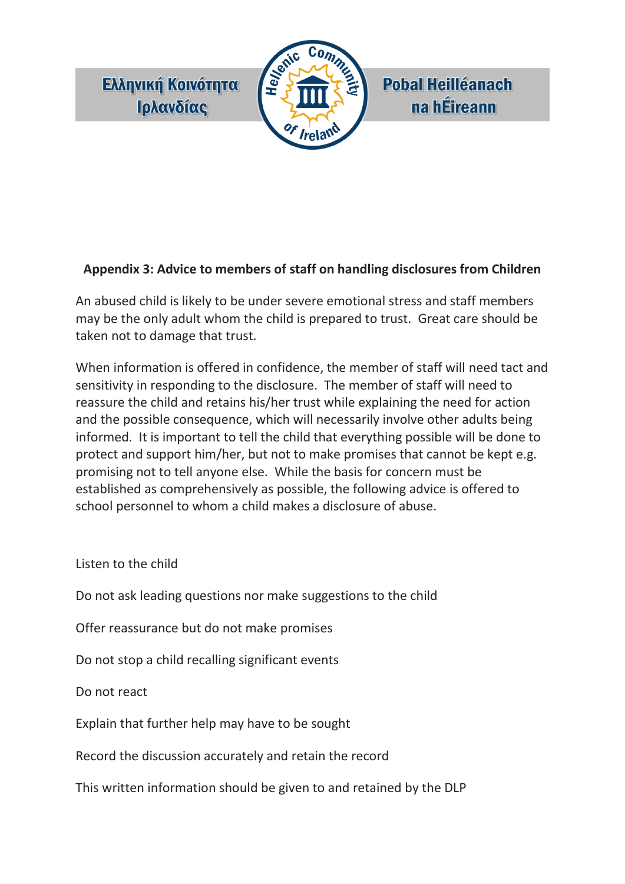

**Pobal Heilléanach** na hÉireann

#### **Appendix 3: Advice to members of staff on handling disclosures from Children**

An abused child is likely to be under severe emotional stress and staff members may be the only adult whom the child is prepared to trust. Great care should be taken not to damage that trust.

When information is offered in confidence, the member of staff will need tact and sensitivity in responding to the disclosure. The member of staff will need to reassure the child and retains his/her trust while explaining the need for action and the possible consequence, which will necessarily involve other adults being informed. It is important to tell the child that everything possible will be done to protect and support him/her, but not to make promises that cannot be kept e.g. promising not to tell anyone else. While the basis for concern must be established as comprehensively as possible, the following advice is offered to school personnel to whom a child makes a disclosure of abuse.

Listen to the child

Do not ask leading questions nor make suggestions to the child

Offer reassurance but do not make promises

Do not stop a child recalling significant events

Do not react

Explain that further help may have to be sought

Record the discussion accurately and retain the record

This written information should be given to and retained by the DLP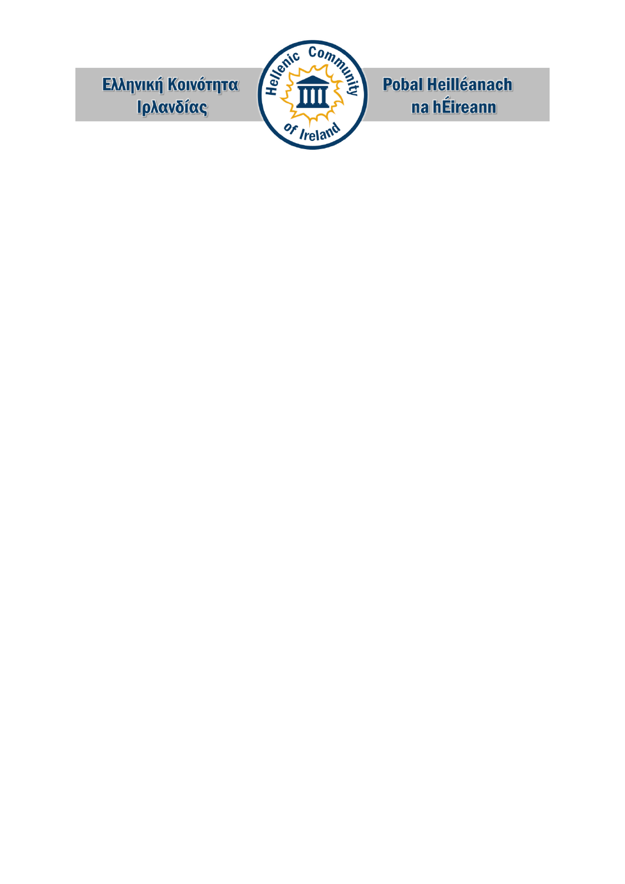

**Pobal Heilléanach** na hÉireann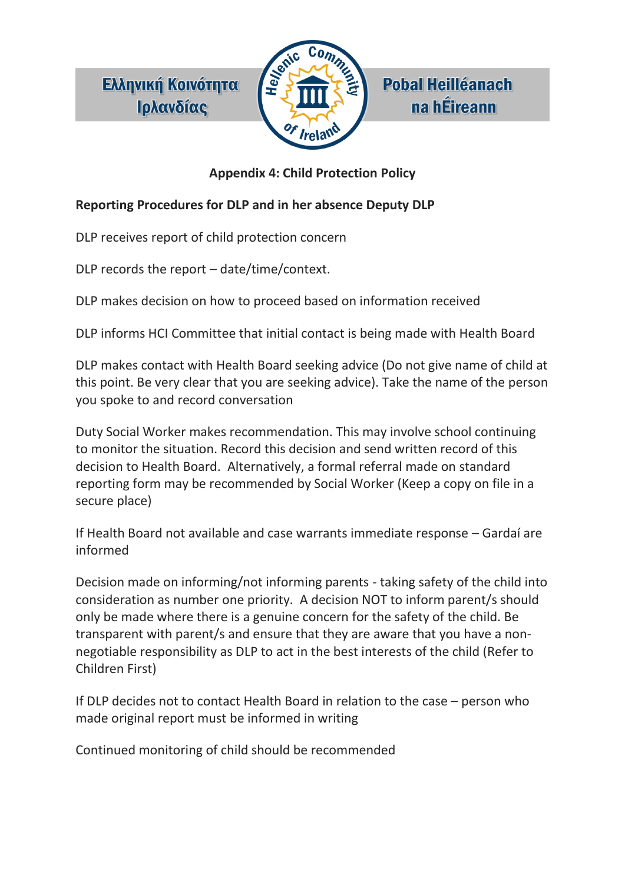

**Pobal Heilléanach** na hÉireann

#### **Appendix 4: Child Protection Policy**

#### **Reporting Procedures for DLP and in her absence Deputy DLP**

DLP receives report of child protection concern

DLP records the report – date/time/context.

DLP makes decision on how to proceed based on information received

DLP informs HCI Committee that initial contact is being made with Health Board

DLP makes contact with Health Board seeking advice (Do not give name of child at this point. Be very clear that you are seeking advice). Take the name of the person you spoke to and record conversation

Duty Social Worker makes recommendation. This may involve school continuing to monitor the situation. Record this decision and send written record of this decision to Health Board. Alternatively, a formal referral made on standard reporting form may be recommended by Social Worker (Keep a copy on file in a secure place)

If Health Board not available and case warrants immediate response – Gardaí are informed

Decision made on informing/not informing parents - taking safety of the child into consideration as number one priority. A decision NOT to inform parent/s should only be made where there is a genuine concern for the safety of the child. Be transparent with parent/s and ensure that they are aware that you have a nonnegotiable responsibility as DLP to act in the best interests of the child (Refer to Children First)

If DLP decides not to contact Health Board in relation to the case – person who made original report must be informed in writing

Continued monitoring of child should be recommended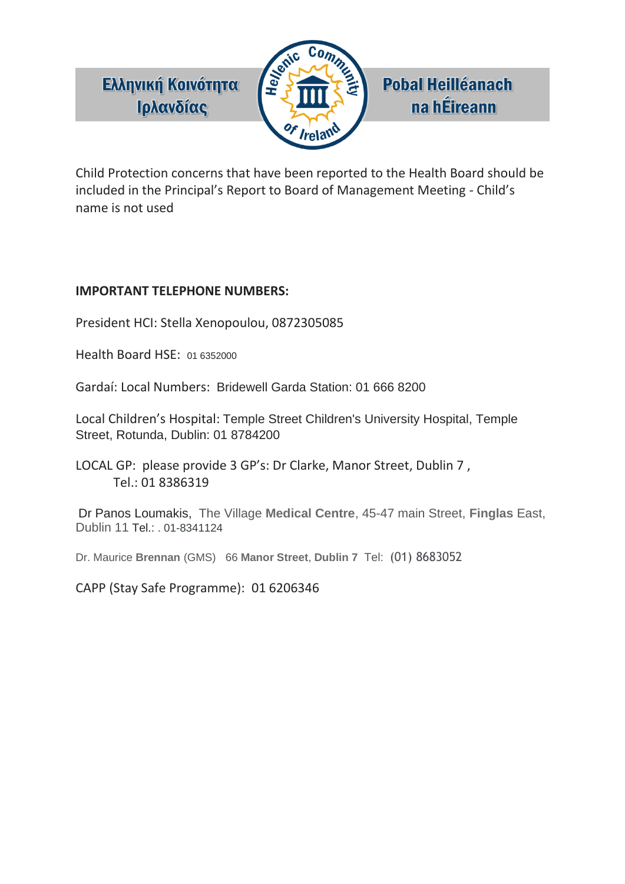

**Pobal Heilléanach** na hÉireann

Child Protection concerns that have been reported to the Health Board should be included in the Principal's Report to Board of Management Meeting - Child's name is not used

#### **IMPORTANT TELEPHONE NUMBERS:**

President HCI: Stella Xenopoulou, 0872305085

Health Board HSE: 01 6352000

Gardaí: Local Numbers: Bridewell Garda Station: 01 666 8200

Local Children's Hospital: Temple Street Children's University Hospital, Temple Street, Rotunda, Dublin: 01 8784200

LOCAL GP: please provide 3 GP's: Dr Clarke, Manor Street, Dublin 7 , Tel.: 01 8386319

Dr Panos Loumakis, The Village **Medical Centre**, 45-47 main Street, **Finglas** East, Dublin 11 Tel.: . 01-8341124

Dr. Maurice **Brennan** (GMS) 66 **Manor Street**, **Dublin 7** Tel: (01) 8683052

CAPP (Stay Safe Programme): 01 6206346